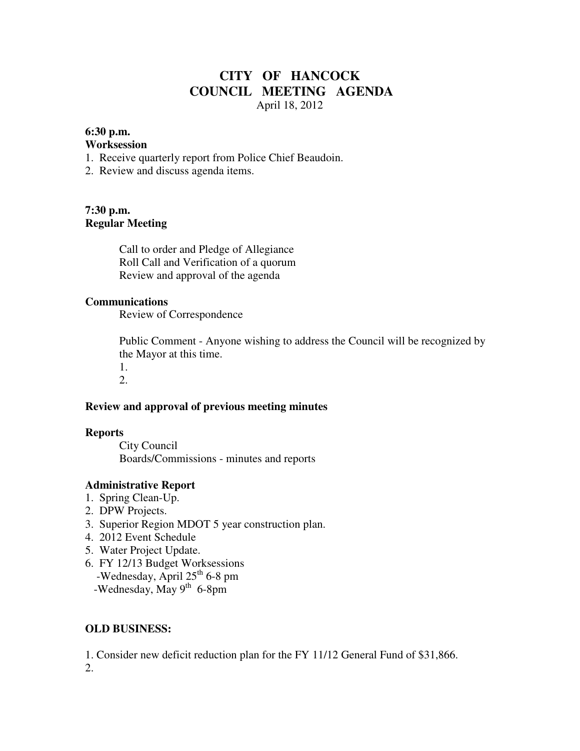# **CITY OF HANCOCK COUNCIL MEETING AGENDA**  April 18, 2012

#### **6:30 p.m.**

#### **Worksession**

- 1. Receive quarterly report from Police Chief Beaudoin.
- 2. Review and discuss agenda items.

### **7:30 p.m. Regular Meeting**

 Call to order and Pledge of Allegiance Roll Call and Verification of a quorum Review and approval of the agenda

#### **Communications**

Review of Correspondence

 Public Comment - Anyone wishing to address the Council will be recognized by the Mayor at this time. 1.

2.

### **Review and approval of previous meeting minutes**

#### **Reports**

City Council Boards/Commissions - minutes and reports

### **Administrative Report**

- 1. Spring Clean-Up.
- 2. DPW Projects.
- 3. Superior Region MDOT 5 year construction plan.
- 4. 2012 Event Schedule
- 5. Water Project Update.
- 6. FY 12/13 Budget Worksessions
	- -Wednesday, April 25<sup>th</sup> 6-8 pm
	- -Wednesday, May  $9^{th}$  6-8pm

### **OLD BUSINESS:**

1. Consider new deficit reduction plan for the FY 11/12 General Fund of \$31,866. 2.